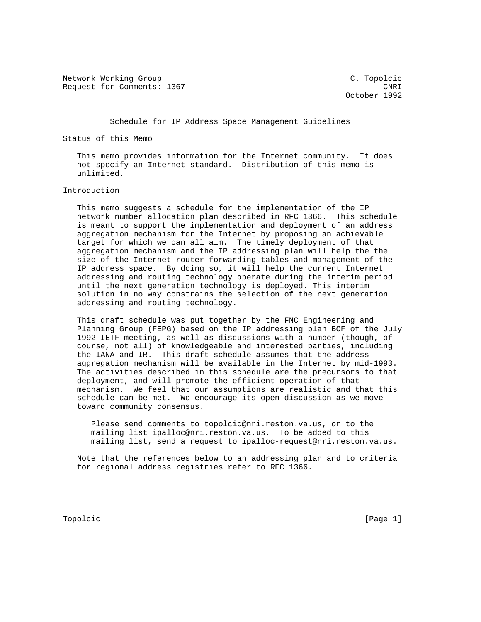Network Working Group C. Topolcic Request for Comments: 1367 CNRI

October 1992

Schedule for IP Address Space Management Guidelines

Status of this Memo

 This memo provides information for the Internet community. It does not specify an Internet standard. Distribution of this memo is unlimited.

## Introduction

 This memo suggests a schedule for the implementation of the IP network number allocation plan described in RFC 1366. This schedule is meant to support the implementation and deployment of an address aggregation mechanism for the Internet by proposing an achievable target for which we can all aim. The timely deployment of that aggregation mechanism and the IP addressing plan will help the the size of the Internet router forwarding tables and management of the IP address space. By doing so, it will help the current Internet addressing and routing technology operate during the interim period until the next generation technology is deployed. This interim solution in no way constrains the selection of the next generation addressing and routing technology.

 This draft schedule was put together by the FNC Engineering and Planning Group (FEPG) based on the IP addressing plan BOF of the July 1992 IETF meeting, as well as discussions with a number (though, of course, not all) of knowledgeable and interested parties, including the IANA and IR. This draft schedule assumes that the address aggregation mechanism will be available in the Internet by mid-1993. The activities described in this schedule are the precursors to that deployment, and will promote the efficient operation of that mechanism. We feel that our assumptions are realistic and that this schedule can be met. We encourage its open discussion as we move toward community consensus.

 Please send comments to topolcic@nri.reston.va.us, or to the mailing list ipalloc@nri.reston.va.us. To be added to this mailing list, send a request to ipalloc-request@nri.reston.va.us.

 Note that the references below to an addressing plan and to criteria for regional address registries refer to RFC 1366.

Topolcic [Page 1]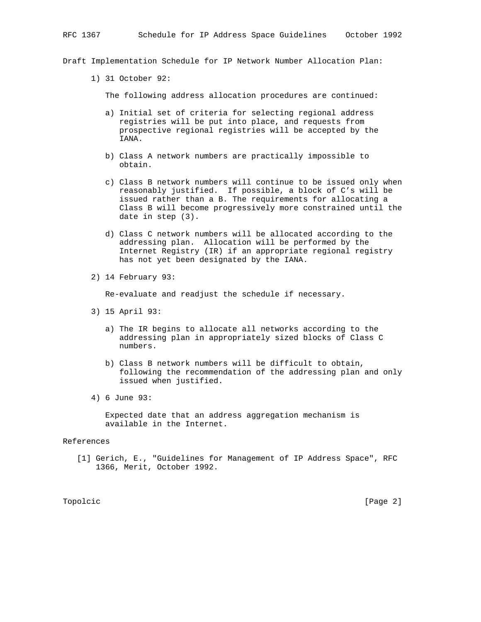Draft Implementation Schedule for IP Network Number Allocation Plan:

1) 31 October 92:

The following address allocation procedures are continued:

- a) Initial set of criteria for selecting regional address registries will be put into place, and requests from prospective regional registries will be accepted by the IANA.
- b) Class A network numbers are practically impossible to obtain.
- c) Class B network numbers will continue to be issued only when reasonably justified. If possible, a block of C's will be issued rather than a B. The requirements for allocating a Class B will become progressively more constrained until the date in step (3).
- d) Class C network numbers will be allocated according to the addressing plan. Allocation will be performed by the Internet Registry (IR) if an appropriate regional registry has not yet been designated by the IANA.
- 2) 14 February 93:

Re-evaluate and readjust the schedule if necessary.

- 3) 15 April 93:
	- a) The IR begins to allocate all networks according to the addressing plan in appropriately sized blocks of Class C numbers.
	- b) Class B network numbers will be difficult to obtain, following the recommendation of the addressing plan and only issued when justified.
- 4) 6 June 93:

 Expected date that an address aggregation mechanism is available in the Internet.

## References

 [1] Gerich, E., "Guidelines for Management of IP Address Space", RFC 1366, Merit, October 1992.

Topolcic [Page 2]